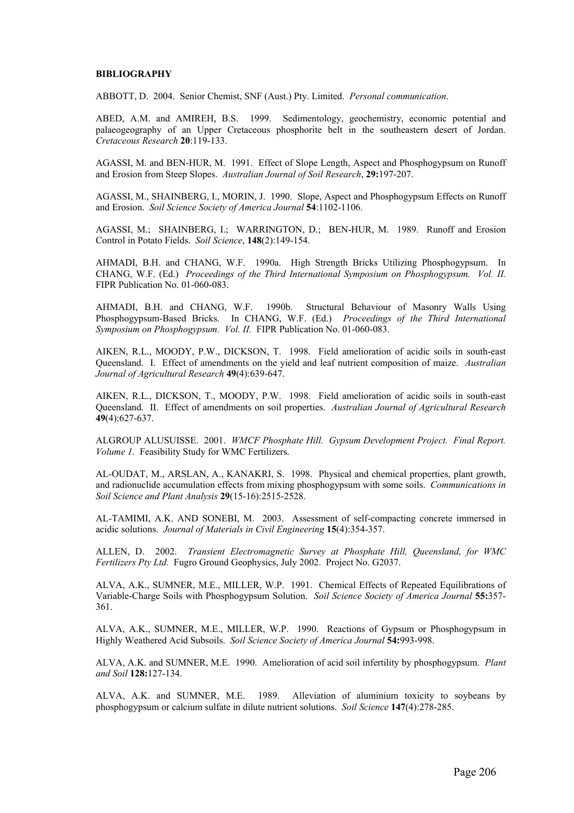## **BIBLIOGRAPHY**

ABBOTT, D. 2004. Senior Chemist, SNF (Aust.) Pty. Limited. *Personal communication*.

ABED, A.M. and AMIREH, B.S. 1999. Sedimentology, geochemistry, economic potential and palaeogeography of an Upper Cretaceous phosphorite belt in the southeastern desert of Jordan. *Cretaceous Research* **20**:119-133.

AGASSI, M. and BEN-HUR, M. 1991. Effect of Slope Length, Aspect and Phosphogypsum on Runoff and Erosion from Steep Slopes. *Australian Journal of Soil Research*, **29:**197-207.

AGASSI, M., SHAINBERG, I., MORIN, J. 1990. Slope, Aspect and Phosphogypsum Effects on Runoff and Erosion. *Soil Science Society of America Journal* **54**:1102-1106.

AGASSI, M.; SHAINBERG, I.; WARRINGTON, D.; BEN-HUR, M. 1989. Runoff and Erosion Control in Potato Fields. *Soil Science*, **148**(2):149-154.

AHMADI, B.H. and CHANG, W.F. 1990a. High Strength Bricks Utilizing Phosphogypsum. In CHANG, W.F. (Ed.) *Proceedings of the Third International Symposium on Phosphogypsum. Vol. II.* FIPR Publication No. 01-060-083.

AHMADI, B.H. and CHANG, W.F. 1990b. Structural Behaviour of Masonry Walls Using Phosphogypsum-Based Bricks. In CHANG, W.F. (Ed.) *Proceedings of the Third International Symposium on Phosphogypsum. Vol. II.* FIPR Publication No. 01-060-083.

AIKEN, R.L., MOODY, P.W., DICKSON, T. 1998. Field amelioration of acidic soils in south-east Queensland. I. Effect of amendments on the yield and leaf nutrient composition of maize. *Australian Journal of Agricultural Research* **49**(4):639-647.

AIKEN, R.L., DICKSON, T., MOODY, P.W. 1998. Field amelioration of acidic soils in south-east Queensland. II. Effect of amendments on soil properties. *Australian Journal of Agricultural Research* **49**(4):627-637.

ALGROUP ALUSUISSE. 2001. *WMCF Phosphate Hill. Gypsum Development Project. Final Report. Volume 1.* Feasibility Study for WMC Fertilizers.

AL-OUDAT, M., ARSLAN, A., KANAKRI, S. 1998. Physical and chemical properties, plant growth, and radionuclide accumulation effects from mixing phosphogypsum with some soils. *Communications in Soil Science and Plant Analysis* **29**(15-16):2515-2528.

AL-TAMIMI, A.K. AND SONEBI, M. 2003. Assessment of self-compacting concrete immersed in acidic solutions. *Journal of Materials in Civil Engineering* **15**(4):354-357.

ALLEN, D. 2002. *Transient Electromagnetic Survey at Phosphate Hill, Queensland, for WMC Fertilizers Pty Ltd.* Fugro Ground Geophysics, July 2002. Project No. G2037.

ALVA, A.K., SUMNER, M.E., MILLER, W.P. 1991. Chemical Effects of Repeated Equilibrations of Variable-Charge Soils with Phosphogypsum Solution. *Soil Science Society of America Journal* **55:**357- 361.

ALVA, A.K., SUMNER, M.E., MILLER, W.P. 1990. Reactions of Gypsum or Phosphogypsum in Highly Weathered Acid Subsoils. *Soil Science Society of America Journal* **54:**993-998.

ALVA, A.K. and SUMNER, M.E. 1990. Amelioration of acid soil infertility by phosphogypsum. *Plant and Soil* **128:**127-134.

ALVA, A.K. and SUMNER, M.E. 1989. Alleviation of aluminium toxicity to soybeans by phosphogypsum or calcium sulfate in dilute nutrient solutions. *Soil Science* **147**(4):278-285.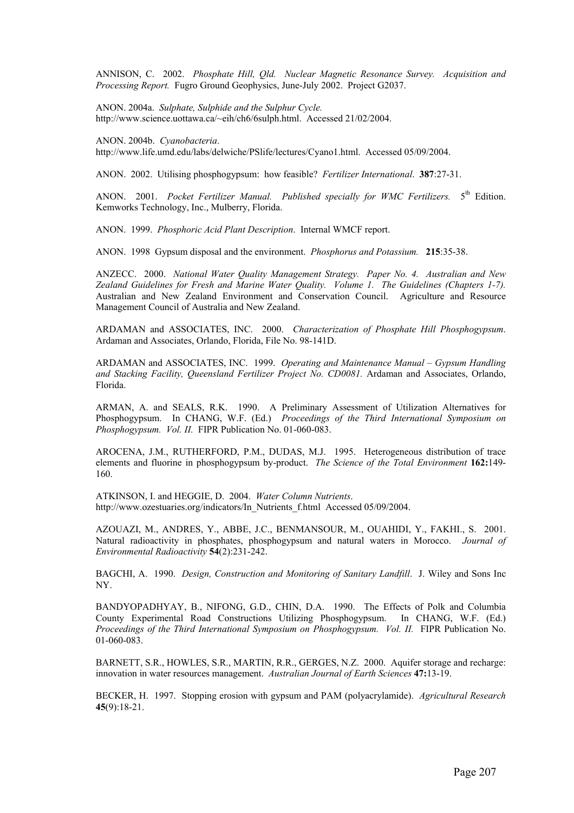ANNISON, C. 2002. *Phosphate Hill, Qld. Nuclear Magnetic Resonance Survey. Acquisition and Processing Report.* Fugro Ground Geophysics, June-July 2002. Project G2037.

ANON. 2004a. *Sulphate, Sulphide and the Sulphur Cycle.* http://www.science.uottawa.ca/~eih/ch6/6sulph.html. Accessed 21/02/2004.

ANON. 2004b. *Cyanobacteria*.

http://www.life.umd.edu/labs/delwiche/PSlife/lectures/Cyano1.html. Accessed 05/09/2004.

ANON. 2002. Utilising phosphogypsum: how feasible? *Fertilizer International*. **387**:27-31.

ANON. 2001. *Pocket Fertilizer Manual. Published specially for WMC Fertilizers.* 5<sup>th</sup> Edition. Kemworks Technology, Inc., Mulberry, Florida.

ANON. 1999. *Phosphoric Acid Plant Description*. Internal WMCF report.

ANON. 1998 Gypsum disposal and the environment. *Phosphorus and Potassium.* **215**:35-38.

ANZECC. 2000. *National Water Quality Management Strategy. Paper No. 4. Australian and New Zealand Guidelines for Fresh and Marine Water Quality. Volume 1. The Guidelines (Chapters 1-7).* Australian and New Zealand Environment and Conservation Council. Agriculture and Resource Management Council of Australia and New Zealand.

ARDAMAN and ASSOCIATES, INC. 2000. *Characterization of Phosphate Hill Phosphogypsum*. Ardaman and Associates, Orlando, Florida, File No. 98-141D.

ARDAMAN and ASSOCIATES, INC. 1999. *Operating and Maintenance Manual – Gypsum Handling and Stacking Facility, Queensland Fertilizer Project No. CD0081.* Ardaman and Associates, Orlando, Florida.

ARMAN, A. and SEALS, R.K. 1990. A Preliminary Assessment of Utilization Alternatives for Phosphogypsum. In CHANG, W.F. (Ed.) *Proceedings of the Third International Symposium on Phosphogypsum. Vol. II.* FIPR Publication No. 01-060-083.

AROCENA, J.M., RUTHERFORD, P.M., DUDAS, M.J. 1995. Heterogeneous distribution of trace elements and fluorine in phosphogypsum by-product. *The Science of the Total Environment* **162:**149- 160.

ATKINSON, I. and HEGGIE, D. 2004. *Water Column Nutrients*. http://www.ozestuaries.org/indicators/In\_Nutrients\_f.html Accessed 05/09/2004.

AZOUAZI, M., ANDRES, Y., ABBE, J.C., BENMANSOUR, M., OUAHIDI, Y., FAKHI., S. 2001. Natural radioactivity in phosphates, phosphogypsum and natural waters in Morocco. *Journal of Environmental Radioactivity* **54**(2):231-242.

BAGCHI, A. 1990. *Design, Construction and Monitoring of Sanitary Landfill*. J. Wiley and Sons Inc NY.

BANDYOPADHYAY, B., NIFONG, G.D., CHIN, D.A. 1990. The Effects of Polk and Columbia County Experimental Road Constructions Utilizing Phosphogypsum. In CHANG, W.F. (Ed.) *Proceedings of the Third International Symposium on Phosphogypsum. Vol. II.* FIPR Publication No. 01-060-083.

BARNETT, S.R., HOWLES, S.R., MARTIN, R.R., GERGES, N.Z. 2000. Aquifer storage and recharge: innovation in water resources management. *Australian Journal of Earth Sciences* **47:**13-19.

BECKER, H. 1997. Stopping erosion with gypsum and PAM (polyacrylamide). *Agricultural Research* **45**(9):18-21.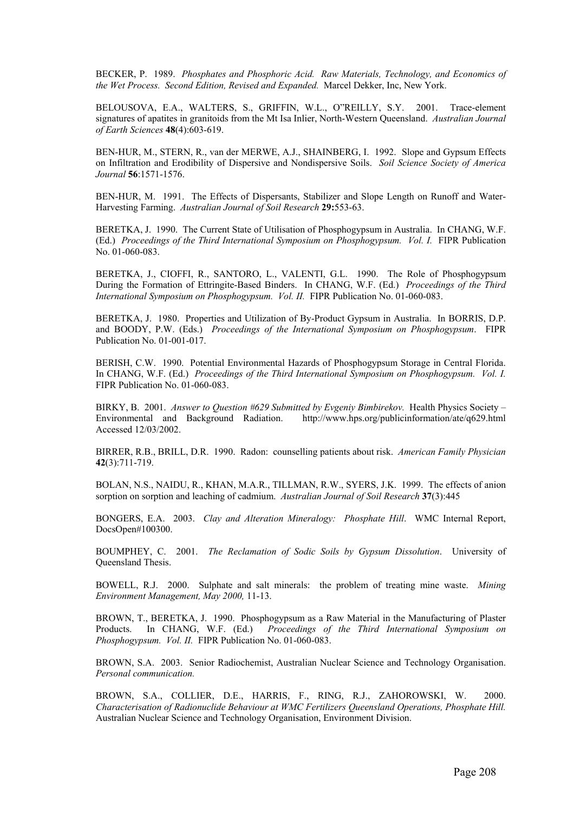BECKER, P. 1989. *Phosphates and Phosphoric Acid. Raw Materials, Technology, and Economics of the Wet Process. Second Edition, Revised and Expanded.* Marcel Dekker, Inc, New York.

BELOUSOVA, E.A., WALTERS, S., GRIFFIN, W.L., O"REILLY, S.Y. 2001. Trace-element signatures of apatites in granitoids from the Mt Isa Inlier, North-Western Queensland. *Australian Journal of Earth Sciences* **48**(4):603-619.

BEN-HUR, M., STERN, R., van der MERWE, A.J., SHAINBERG, I. 1992. Slope and Gypsum Effects on Infiltration and Erodibility of Dispersive and Nondispersive Soils. *Soil Science Society of America Journal* **56**:1571-1576.

BEN-HUR, M. 1991. The Effects of Dispersants, Stabilizer and Slope Length on Runoff and Water-Harvesting Farming. *Australian Journal of Soil Research* **29:**553-63.

BERETKA, J. 1990. The Current State of Utilisation of Phosphogypsum in Australia. In CHANG, W.F. (Ed.) *Proceedings of the Third International Symposium on Phosphogypsum. Vol. I.* FIPR Publication No. 01-060-083.

BERETKA, J., CIOFFI, R., SANTORO, L., VALENTI, G.L. 1990. The Role of Phosphogypsum During the Formation of Ettringite-Based Binders. In CHANG, W.F. (Ed.) *Proceedings of the Third International Symposium on Phosphogypsum. Vol. II.* FIPR Publication No. 01-060-083.

BERETKA, J. 1980. Properties and Utilization of By-Product Gypsum in Australia. In BORRIS, D.P. and BOODY, P.W. (Eds.) *Proceedings of the International Symposium on Phosphogypsum*. FIPR Publication No. 01-001-017.

BERISH, C.W. 1990. Potential Environmental Hazards of Phosphogypsum Storage in Central Florida. In CHANG, W.F. (Ed.) *Proceedings of the Third International Symposium on Phosphogypsum. Vol. I.* FIPR Publication No. 01-060-083.

BIRKY, B. 2001. *Answer to Question #629 Submitted by Evgeniy Bimbirekov.* Health Physics Society – Environmental and Background Radiation. http://www.hps.org/publicinformation/ate/q629.html Accessed 12/03/2002.

BIRRER, R.B., BRILL, D.R. 1990. Radon: counselling patients about risk. *American Family Physician* **42**(3):711-719.

BOLAN, N.S., NAIDU, R., KHAN, M.A.R., TILLMAN, R.W., SYERS, J.K. 1999. The effects of anion sorption on sorption and leaching of cadmium. *Australian Journal of Soil Research* **37**(3):445

BONGERS, E.A. 2003. *Clay and Alteration Mineralogy: Phosphate Hill*. WMC Internal Report, DocsOpen#100300.

BOUMPHEY, C. 2001. *The Reclamation of Sodic Soils by Gypsum Dissolution*. University of Queensland Thesis.

BOWELL, R.J. 2000. Sulphate and salt minerals: the problem of treating mine waste. *Mining Environment Management, May 2000,* 11-13.

BROWN, T., BERETKA, J. 1990. Phosphogypsum as a Raw Material in the Manufacturing of Plaster Products. In CHANG, W.F. (Ed.) *Proceedings of the Third International Symposium on Phosphogypsum. Vol. II.* FIPR Publication No. 01-060-083.

BROWN, S.A. 2003. Senior Radiochemist, Australian Nuclear Science and Technology Organisation. *Personal communication.*

BROWN, S.A., COLLIER, D.E., HARRIS, F., RING, R.J., ZAHOROWSKI, W. 2000. *Characterisation of Radionuclide Behaviour at WMC Fertilizers Queensland Operations, Phosphate Hill.* Australian Nuclear Science and Technology Organisation, Environment Division.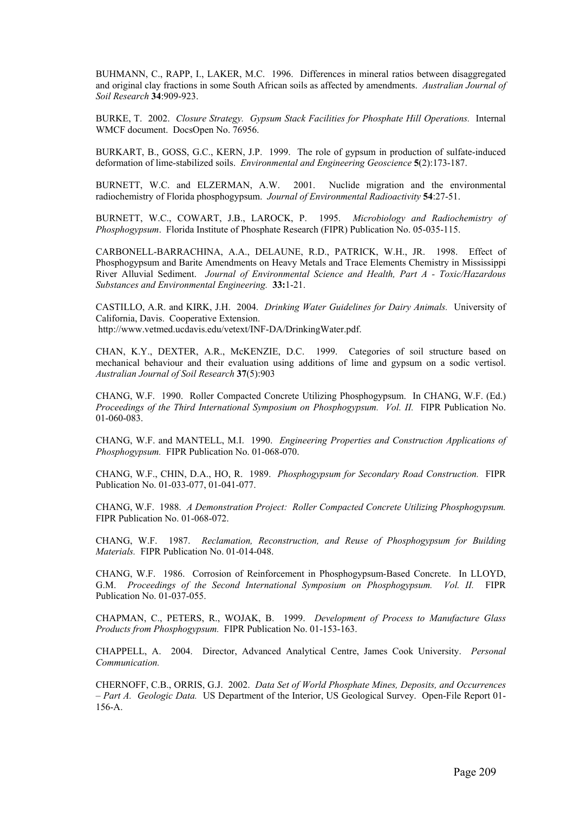BUHMANN, C., RAPP, I., LAKER, M.C. 1996. Differences in mineral ratios between disaggregated and original clay fractions in some South African soils as affected by amendments. *Australian Journal of Soil Research* **34**:909-923.

BURKE, T. 2002. *Closure Strategy. Gypsum Stack Facilities for Phosphate Hill Operations.* Internal WMCF document. DocsOpen No. 76956.

BURKART, B., GOSS, G.C., KERN, J.P. 1999. The role of gypsum in production of sulfate-induced deformation of lime-stabilized soils. *Environmental and Engineering Geoscience* **5**(2):173-187.

BURNETT, W.C. and ELZERMAN, A.W. 2001. Nuclide migration and the environmental radiochemistry of Florida phosphogypsum. *Journal of Environmental Radioactivity* **54**:27-51.

BURNETT, W.C., COWART, J.B., LAROCK, P. 1995. *Microbiology and Radiochemistry of Phosphogypsum*. Florida Institute of Phosphate Research (FIPR) Publication No. 05-035-115.

CARBONELL-BARRACHINA, A.A., DELAUNE, R.D., PATRICK, W.H., JR. 1998. Effect of Phosphogypsum and Barite Amendments on Heavy Metals and Trace Elements Chemistry in Mississippi River Alluvial Sediment. *Journal of Environmental Science and Health, Part A - Toxic/Hazardous Substances and Environmental Engineering.* **33:**1-21.

CASTILLO, A.R. and KIRK, J.H. 2004. *Drinking Water Guidelines for Dairy Animals.* University of California, Davis. Cooperative Extension. http://www.vetmed.ucdavis.edu/vetext/INF-DA/DrinkingWater.pdf.

CHAN, K.Y., DEXTER, A.R., McKENZIE, D.C. 1999. Categories of soil structure based on mechanical behaviour and their evaluation using additions of lime and gypsum on a sodic vertisol. *Australian Journal of Soil Research* **37**(5):903

CHANG, W.F. 1990. Roller Compacted Concrete Utilizing Phosphogypsum. In CHANG, W.F. (Ed.) *Proceedings of the Third International Symposium on Phosphogypsum. Vol. II.* FIPR Publication No. 01-060-083.

CHANG, W.F. and MANTELL, M.I. 1990. *Engineering Properties and Construction Applications of Phosphogypsum.* FIPR Publication No. 01-068-070.

CHANG, W.F., CHIN, D.A., HO, R. 1989. *Phosphogypsum for Secondary Road Construction.* FIPR Publication No. 01-033-077, 01-041-077.

CHANG, W.F. 1988. *A Demonstration Project: Roller Compacted Concrete Utilizing Phosphogypsum.* FIPR Publication No. 01-068-072.

CHANG, W.F. 1987. *Reclamation, Reconstruction, and Reuse of Phosphogypsum for Building Materials.* FIPR Publication No. 01-014-048.

CHANG, W.F. 1986. Corrosion of Reinforcement in Phosphogypsum-Based Concrete. In LLOYD, G.M. *Proceedings of the Second International Symposium on Phosphogypsum. Vol. II.* FIPR Publication No. 01-037-055.

CHAPMAN, C., PETERS, R., WOJAK, B. 1999. *Development of Process to Manufacture Glass Products from Phosphogypsum.* FIPR Publication No. 01-153-163.

CHAPPELL, A. 2004. Director, Advanced Analytical Centre, James Cook University. *Personal Communication.*

CHERNOFF, C.B., ORRIS, G.J. 2002. *Data Set of World Phosphate Mines, Deposits, and Occurrences – Part A. Geologic Data.* US Department of the Interior, US Geological Survey. Open-File Report 01- 156-A.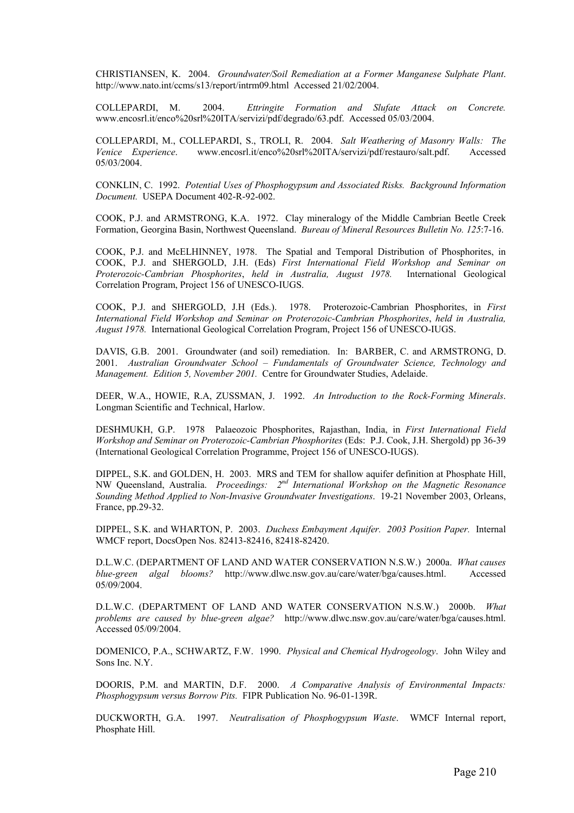CHRISTIANSEN, K. 2004. *Groundwater/Soil Remediation at a Former Manganese Sulphate Plant*. http://www.nato.int/ccms/s13/report/intrm09.html Accessed 21/02/2004.

COLLEPARDI, M. 2004. *Ettringite Formation and Slufate Attack on Concrete.* www.encosrl.it/enco%20srl%20ITA/servizi/pdf/degrado/63.pdf. Accessed 05/03/2004.

COLLEPARDI, M., COLLEPARDI, S., TROLI, R. 2004. *Salt Weathering of Masonry Walls: The Venice Experience*. www.encosrl.it/enco%20srl%20ITA/servizi/pdf/restauro/salt.pdf. Accessed 05/03/2004.

CONKLIN, C. 1992. *Potential Uses of Phosphogypsum and Associated Risks. Background Information Document.* USEPA Document 402-R-92-002.

COOK, P.J. and ARMSTRONG, K.A. 1972. Clay mineralogy of the Middle Cambrian Beetle Creek Formation, Georgina Basin, Northwest Queensland. *Bureau of Mineral Resources Bulletin No. 125*:7-16.

COOK, P.J. and McELHINNEY, 1978. The Spatial and Temporal Distribution of Phosphorites, in COOK, P.J. and SHERGOLD, J.H. (Eds) *First International Field Workshop and Seminar on Proterozoic-Cambrian Phosphorites*, *held in Australia, August 1978.* International Geological Correlation Program, Project 156 of UNESCO-IUGS.

COOK, P.J. and SHERGOLD, J.H (Eds.). 1978. Proterozoic-Cambrian Phosphorites, in *First International Field Workshop and Seminar on Proterozoic-Cambrian Phosphorites*, *held in Australia, August 1978.* International Geological Correlation Program, Project 156 of UNESCO-IUGS.

DAVIS, G.B. 2001. Groundwater (and soil) remediation. In: BARBER, C. and ARMSTRONG, D. 2001. *Australian Groundwater School – Fundamentals of Groundwater Science, Technology and Management. Edition 5, November 2001.* Centre for Groundwater Studies, Adelaide.

DEER, W.A., HOWIE, R.A, ZUSSMAN, J. 1992. *An Introduction to the Rock-Forming Minerals*. Longman Scientific and Technical, Harlow.

DESHMUKH, G.P. 1978 Palaeozoic Phosphorites, Rajasthan, India, in *First International Field Workshop and Seminar on Proterozoic-Cambrian Phosphorites* (Eds: P.J. Cook, J.H. Shergold) pp 36-39 (International Geological Correlation Programme, Project 156 of UNESCO-IUGS).

DIPPEL, S.K. and GOLDEN, H. 2003. MRS and TEM for shallow aquifer definition at Phosphate Hill, NW Queensland, Australia. *Proceedings: 2nd International Workshop on the Magnetic Resonance Sounding Method Applied to Non-Invasive Groundwater Investigations*. 19-21 November 2003, Orleans, France, pp.29-32.

DIPPEL, S.K. and WHARTON, P. 2003. *Duchess Embayment Aquifer. 2003 Position Paper.* Internal WMCF report, DocsOpen Nos. 82413-82416, 82418-82420.

D.L.W.C. (DEPARTMENT OF LAND AND WATER CONSERVATION N.S.W.) 2000a. *What causes blue-green algal blooms?* http://www.dlwc.nsw.gov.au/care/water/bga/causes.html. Accessed 05/09/2004.

D.L.W.C. (DEPARTMENT OF LAND AND WATER CONSERVATION N.S.W.) 2000b. *What problems are caused by blue-green algae?* http://www.dlwc.nsw.gov.au/care/water/bga/causes.html. Accessed 05/09/2004.

DOMENICO, P.A., SCHWARTZ, F.W. 1990. *Physical and Chemical Hydrogeology*. John Wiley and Sons Inc. N.Y.

DOORIS, P.M. and MARTIN, D.F. 2000. *A Comparative Analysis of Environmental Impacts: Phosphogypsum versus Borrow Pits.* FIPR Publication No. 96-01-139R.

DUCKWORTH, G.A. 1997. *Neutralisation of Phosphogypsum Waste*. WMCF Internal report, Phosphate Hill.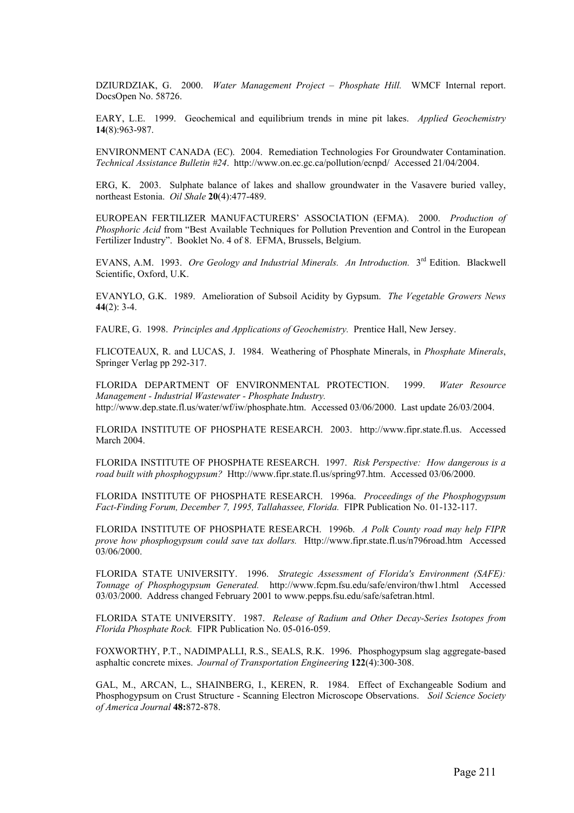DZIURDZIAK, G. 2000. *Water Management Project – Phosphate Hill.* WMCF Internal report. DocsOpen No. 58726.

EARY, L.E. 1999. Geochemical and equilibrium trends in mine pit lakes. *Applied Geochemistry* **14**(8):963-987.

ENVIRONMENT CANADA (EC). 2004. Remediation Technologies For Groundwater Contamination. *Technical Assistance Bulletin #24*. http://www.on.ec.gc.ca/pollution/ecnpd/ Accessed 21/04/2004.

ERG, K. 2003. Sulphate balance of lakes and shallow groundwater in the Vasavere buried valley, northeast Estonia. *Oil Shale* **20**(4):477-489.

EUROPEAN FERTILIZER MANUFACTURERS' ASSOCIATION (EFMA). 2000. *Production of Phosphoric Acid* from "Best Available Techniques for Pollution Prevention and Control in the European Fertilizer Industry". Booklet No. 4 of 8. EFMA, Brussels, Belgium.

EVANS, A.M. 1993. *Ore Geology and Industrial Minerals. An Introduction.* 3rd Edition. Blackwell Scientific, Oxford, U.K.

EVANYLO, G.K. 1989. Amelioration of Subsoil Acidity by Gypsum. *The Vegetable Growers News* **44**(2): 3-4.

FAURE, G. 1998. *Principles and Applications of Geochemistry.* Prentice Hall, New Jersey.

FLICOTEAUX, R. and LUCAS, J. 1984. Weathering of Phosphate Minerals, in *Phosphate Minerals*, Springer Verlag pp 292-317.

FLORIDA DEPARTMENT OF ENVIRONMENTAL PROTECTION. 1999. *Water Resource Management - Industrial Wastewater - Phosphate Industry.* http://www.dep.state.fl.us/water/wf/iw/phosphate.htm. Accessed 03/06/2000. Last update 26/03/2004.

FLORIDA INSTITUTE OF PHOSPHATE RESEARCH. 2003. http://www.fipr.state.fl.us. Accessed March 2004.

FLORIDA INSTITUTE OF PHOSPHATE RESEARCH. 1997. *Risk Perspective: How dangerous is a road built with phosphogypsum?* Http://www.fipr.state.fl.us/spring97.htm. Accessed 03/06/2000.

FLORIDA INSTITUTE OF PHOSPHATE RESEARCH. 1996a. *Proceedings of the Phosphogypsum Fact-Finding Forum, December 7, 1995, Tallahassee, Florida.* FIPR Publication No. 01-132-117.

FLORIDA INSTITUTE OF PHOSPHATE RESEARCH. 1996b. *A Polk County road may help FIPR prove how phosphogypsum could save tax dollars.* Http://www.fipr.state.fl.us/n796road.htm Accessed 03/06/2000.

FLORIDA STATE UNIVERSITY. 1996. *Strategic Assessment of Florida's Environment (SAFE): Tonnage of Phosphogypsum Generated.* http://www.fcpm.fsu.edu/safe/environ/thw1.html Accessed 03/03/2000. Address changed February 2001 to www.pepps.fsu.edu/safe/safetran.html.

FLORIDA STATE UNIVERSITY. 1987. *Release of Radium and Other Decay-Series Isotopes from Florida Phosphate Rock.* FIPR Publication No. 05-016-059.

FOXWORTHY, P.T., NADIMPALLI, R.S., SEALS, R.K. 1996. Phosphogypsum slag aggregate-based asphaltic concrete mixes. *Journal of Transportation Engineering* **122**(4):300-308.

GAL, M., ARCAN, L., SHAINBERG, I., KEREN, R. 1984. Effect of Exchangeable Sodium and Phosphogypsum on Crust Structure - Scanning Electron Microscope Observations. *Soil Science Society of America Journal* **48:**872-878.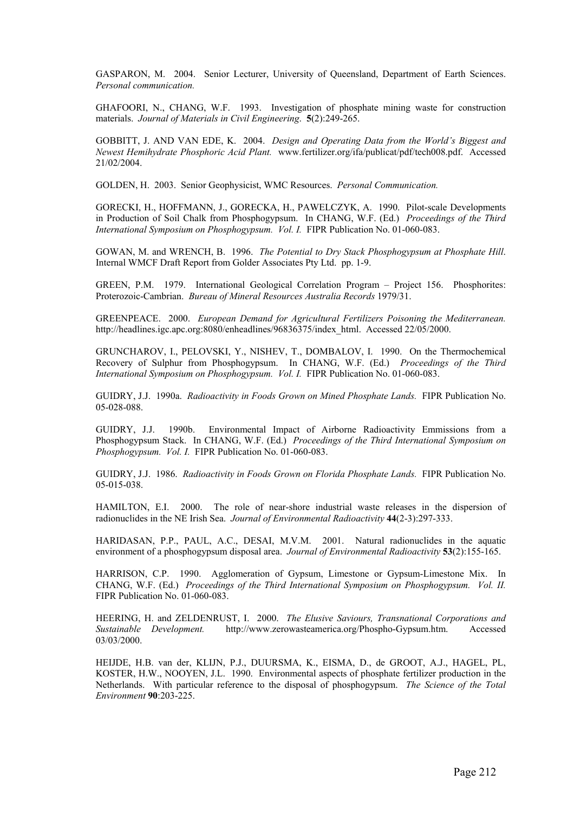GASPARON, M. 2004. Senior Lecturer, University of Queensland, Department of Earth Sciences. *Personal communication.*

GHAFOORI, N., CHANG, W.F. 1993. Investigation of phosphate mining waste for construction materials. *Journal of Materials in Civil Engineering*. **5**(2):249-265.

GOBBITT, J. AND VAN EDE, K. 2004. *Design and Operating Data from the World's Biggest and Newest Hemihydrate Phosphoric Acid Plant.* www.fertilizer.org/ifa/publicat/pdf/tech008.pdf. Accessed 21/02/2004.

GOLDEN, H. 2003. Senior Geophysicist, WMC Resources. *Personal Communication.*

GORECKI, H., HOFFMANN, J., GORECKA, H., PAWELCZYK, A. 1990. Pilot-scale Developments in Production of Soil Chalk from Phosphogypsum. In CHANG, W.F. (Ed.) *Proceedings of the Third International Symposium on Phosphogypsum. Vol. I.* FIPR Publication No. 01-060-083.

GOWAN, M. and WRENCH, B. 1996. *The Potential to Dry Stack Phosphogypsum at Phosphate Hill*. Internal WMCF Draft Report from Golder Associates Pty Ltd. pp. 1-9.

GREEN, P.M. 1979. International Geological Correlation Program – Project 156. Phosphorites: Proterozoic-Cambrian. *Bureau of Mineral Resources Australia Records* 1979/31.

GREENPEACE. 2000. *European Demand for Agricultural Fertilizers Poisoning the Mediterranean.*  http://headlines.igc.apc.org:8080/enheadlines/96836375/index\_html. Accessed 22/05/2000.

GRUNCHAROV, I., PELOVSKI, Y., NISHEV, T., DOMBALOV, I. 1990. On the Thermochemical Recovery of Sulphur from Phosphogypsum. In CHANG, W.F. (Ed.) *Proceedings of the Third International Symposium on Phosphogypsum. Vol. I.* FIPR Publication No. 01-060-083.

GUIDRY, J.J. 1990a. *Radioactivity in Foods Grown on Mined Phosphate Lands.* FIPR Publication No. 05-028-088.

GUIDRY, J.J. 1990b. Environmental Impact of Airborne Radioactivity Emmissions from a Phosphogypsum Stack. In CHANG, W.F. (Ed.) *Proceedings of the Third International Symposium on Phosphogypsum. Vol. I.* FIPR Publication No. 01-060-083.

GUIDRY, J.J. 1986. *Radioactivity in Foods Grown on Florida Phosphate Lands.* FIPR Publication No. 05-015-038.

HAMILTON, E.I. 2000. The role of near-shore industrial waste releases in the dispersion of radionuclides in the NE Irish Sea. *Journal of Environmental Radioactivity* **44**(2-3):297-333.

HARIDASAN, P.P., PAUL, A.C., DESAI, M.V.M. 2001. Natural radionuclides in the aquatic environment of a phosphogypsum disposal area. *Journal of Environmental Radioactivity* **53**(2):155-165.

HARRISON, C.P. 1990. Agglomeration of Gypsum, Limestone or Gypsum-Limestone Mix. In CHANG, W.F. (Ed.) *Proceedings of the Third International Symposium on Phosphogypsum. Vol. II.* FIPR Publication No. 01-060-083.

HEERING, H. and ZELDENRUST, I. 2000. *The Elusive Saviours, Transnational Corporations and Sustainable Development.* http://www.zerowasteamerica.org/Phospho-Gypsum.htm. Accessed 03/03/2000.

HEIJDE, H.B. van der, KLIJN, P.J., DUURSMA, K., EISMA, D., de GROOT, A.J., HAGEL, PL, KOSTER, H.W., NOOYEN, J.L. 1990. Environmental aspects of phosphate fertilizer production in the Netherlands. With particular reference to the disposal of phosphogypsum. *The Science of the Total Environment* **90**:203-225.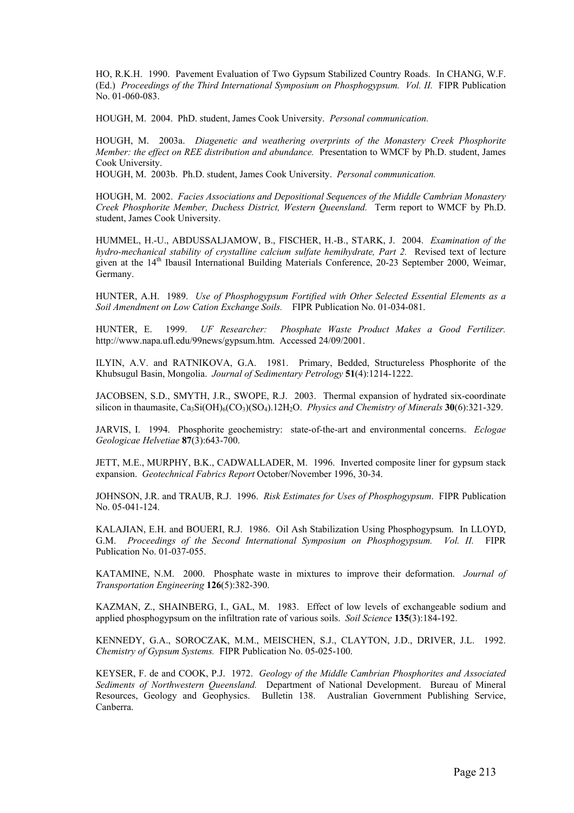HO, R.K.H. 1990. Pavement Evaluation of Two Gypsum Stabilized Country Roads. In CHANG, W.F. (Ed.) *Proceedings of the Third International Symposium on Phosphogypsum. Vol. II.* FIPR Publication No. 01-060-083.

HOUGH, M. 2004. PhD. student, James Cook University. *Personal communication.*

HOUGH, M. 2003a. *Diagenetic and weathering overprints of the Monastery Creek Phosphorite Member: the effect on REE distribution and abundance.* Presentation to WMCF by Ph.D. student, James Cook University.

HOUGH, M. 2003b. Ph.D. student, James Cook University. *Personal communication.*

HOUGH, M. 2002. *Facies Associations and Depositional Sequences of the Middle Cambrian Monastery Creek Phosphorite Member, Duchess District, Western Queensland.* Term report to WMCF by Ph.D. student, James Cook University.

HUMMEL, H.-U., ABDUSSALJAMOW, B., FISCHER, H.-B., STARK, J. 2004. *Examination of the hydro-mechanical stability of crystalline calcium sulfate hemihydrate, Part 2.* Revised text of lecture given at the 14<sup>th</sup> Ibausil International Building Materials Conference, 20-23 September 2000, Weimar, Germany.

HUNTER, A.H. 1989. *Use of Phosphogypsum Fortified with Other Selected Essential Elements as a Soil Amendment on Low Cation Exchange Soils.* FIPR Publication No. 01-034-081.

HUNTER, E. 1999. *UF Researcher: Phosphate Waste Product Makes a Good Fertilizer.* http://www.napa.ufl.edu/99news/gypsum.htm. Accessed 24/09/2001.

ILYIN, A.V. and RATNIKOVA, G.A. 1981. Primary, Bedded, Structureless Phosphorite of the Khubsugul Basin, Mongolia. *Journal of Sedimentary Petrology* **51**(4):1214-1222.

JACOBSEN, S.D., SMYTH, J.R., SWOPE, R.J. 2003. Thermal expansion of hydrated six-coordinate silicon in thaumasite, Ca<sub>3</sub>Si(OH)<sub>6</sub>(CO<sub>3</sub>)(SO<sub>4</sub>).12H<sub>2</sub>O. *Physics and Chemistry of Minerals* **30**(6):321-329.

JARVIS, I. 1994. Phosphorite geochemistry: state-of-the-art and environmental concerns. *Eclogae Geologicae Helvetiae* **87**(3):643-700.

JETT, M.E., MURPHY, B.K., CADWALLADER, M. 1996. Inverted composite liner for gypsum stack expansion. *Geotechnical Fabrics Report* October/November 1996, 30-34.

JOHNSON, J.R. and TRAUB, R.J. 1996. *Risk Estimates for Uses of Phosphogypsum*. FIPR Publication No. 05-041-124.

KALAJIAN, E.H. and BOUERI, R.J. 1986. Oil Ash Stabilization Using Phosphogypsum. In LLOYD, G.M. *Proceedings of the Second International Symposium on Phosphogypsum. Vol. II.* FIPR Publication No. 01-037-055.

KATAMINE, N.M. 2000. Phosphate waste in mixtures to improve their deformation. *Journal of Transportation Engineering* **126**(5):382-390.

KAZMAN, Z., SHAINBERG, I., GAL, M. 1983. Effect of low levels of exchangeable sodium and applied phosphogypsum on the infiltration rate of various soils. *Soil Science* **135**(3):184-192.

KENNEDY, G.A., SOROCZAK, M.M., MEISCHEN, S.J., CLAYTON, J.D., DRIVER, J.L. 1992. *Chemistry of Gypsum Systems.* FIPR Publication No. 05-025-100.

KEYSER, F. de and COOK, P.J. 1972. *Geology of the Middle Cambrian Phosphorites and Associated Sediments of Northwestern Queensland.* Department of National Development. Bureau of Mineral Resources, Geology and Geophysics. Bulletin 138. Australian Government Publishing Service, Canberra.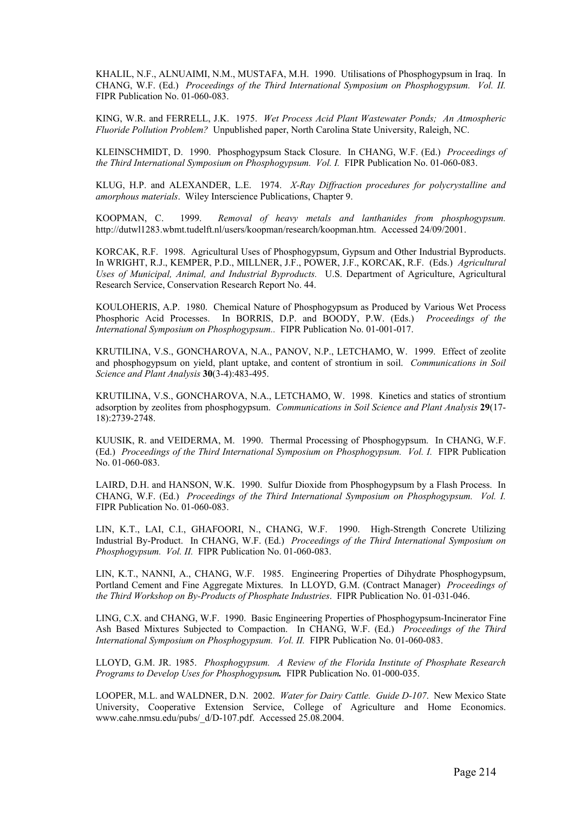KHALIL, N.F., ALNUAIMI, N.M., MUSTAFA, M.H. 1990. Utilisations of Phosphogypsum in Iraq. In CHANG, W.F. (Ed.) *Proceedings of the Third International Symposium on Phosphogypsum. Vol. II.* FIPR Publication No. 01-060-083.

KING, W.R. and FERRELL, J.K. 1975. *Wet Process Acid Plant Wastewater Ponds; An Atmospheric Fluoride Pollution Problem?* Unpublished paper, North Carolina State University, Raleigh, NC.

KLEINSCHMIDT, D. 1990. Phosphogypsum Stack Closure. In CHANG, W.F. (Ed.) *Proceedings of the Third International Symposium on Phosphogypsum. Vol. I.* FIPR Publication No. 01-060-083.

KLUG, H.P. and ALEXANDER, L.E. 1974. *X-Ray Diffraction procedures for polycrystalline and amorphous materials*. Wiley Interscience Publications, Chapter 9.

KOOPMAN, C. 1999. *Removal of heavy metals and lanthanides from phosphogypsum.* http://dutwl1283.wbmt.tudelft.nl/users/koopman/research/koopman.htm. Accessed 24/09/2001.

KORCAK, R.F. 1998. Agricultural Uses of Phosphogypsum, Gypsum and Other Industrial Byproducts. In WRIGHT, R.J., KEMPER, P.D., MILLNER, J.F., POWER, J.F., KORCAK, R.F. (Eds.) *Agricultural Uses of Municipal, Animal, and Industrial Byproducts.* U.S. Department of Agriculture, Agricultural Research Service, Conservation Research Report No. 44.

KOULOHERIS, A.P. 1980. Chemical Nature of Phosphogypsum as Produced by Various Wet Process Phosphoric Acid Processes. In BORRIS, D.P. and BOODY, P.W. (Eds.) *Proceedings of the International Symposium on Phosphogypsum..* FIPR Publication No. 01-001-017.

KRUTILINA, V.S., GONCHAROVA, N.A., PANOV, N.P., LETCHAMO, W. 1999. Effect of zeolite and phosphogypsum on yield, plant uptake, and content of strontium in soil. *Communications in Soil Science and Plant Analysis* **30**(3-4):483-495.

KRUTILINA, V.S., GONCHAROVA, N.A., LETCHAMO, W. 1998. Kinetics and statics of strontium adsorption by zeolites from phosphogypsum. *Communications in Soil Science and Plant Analysis* **29**(17- 18):2739-2748.

KUUSIK, R. and VEIDERMA, M. 1990. Thermal Processing of Phosphogypsum. In CHANG, W.F. (Ed.) *Proceedings of the Third International Symposium on Phosphogypsum. Vol. I.* FIPR Publication No. 01-060-083.

LAIRD, D.H. and HANSON, W.K. 1990. Sulfur Dioxide from Phosphogypsum by a Flash Process. In CHANG, W.F. (Ed.) *Proceedings of the Third International Symposium on Phosphogypsum. Vol. I.* FIPR Publication No. 01-060-083.

LIN, K.T., LAI, C.I., GHAFOORI, N., CHANG, W.F. 1990. High-Strength Concrete Utilizing Industrial By-Product. In CHANG, W.F. (Ed.) *Proceedings of the Third International Symposium on Phosphogypsum. Vol. II.* FIPR Publication No. 01-060-083.

LIN, K.T., NANNI, A., CHANG, W.F. 1985. Engineering Properties of Dihydrate Phosphogypsum, Portland Cement and Fine Aggregate Mixtures. In LLOYD, G.M. (Contract Manager) *Proceedings of the Third Workshop on By-Products of Phosphate Industries*. FIPR Publication No. 01-031-046.

LING, C.X. and CHANG, W.F. 1990. Basic Engineering Properties of Phosphogypsum-Incinerator Fine Ash Based Mixtures Subjected to Compaction. In CHANG, W.F. (Ed.) *Proceedings of the Third International Symposium on Phosphogypsum. Vol. II.* FIPR Publication No. 01-060-083.

LLOYD, G.M. JR. 1985. *Phosphogypsum. A Review of the Florida Institute of Phosphate Research Programs to Develop Uses for Phosphogypsum.* FIPR Publication No. 01-000-035.

LOOPER, M.L. and WALDNER, D.N. 2002. *Water for Dairy Cattle. Guide D-107*. New Mexico State University, Cooperative Extension Service, College of Agriculture and Home Economics. www.cahe.nmsu.edu/pubs/\_d/D-107.pdf. Accessed 25.08.2004.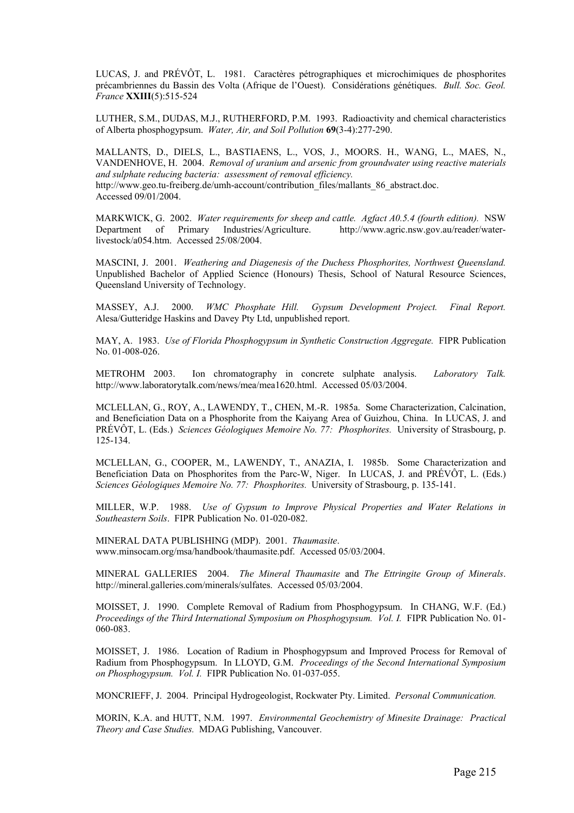LUCAS, J. and PRÉVÔT, L. 1981. Caractères pétrographiques et microchimiques de phosphorites précambriennes du Bassin des Volta (Afrique de l'Ouest). Considérations génétiques. *Bull. Soc. Geol. France* **XXIII**(5):515-524

LUTHER, S.M., DUDAS, M.J., RUTHERFORD, P.M. 1993. Radioactivity and chemical characteristics of Alberta phosphogypsum. *Water, Air, and Soil Pollution* **69**(3-4):277-290.

MALLANTS, D., DIELS, L., BASTIAENS, L., VOS, J., MOORS. H., WANG, L., MAES, N., VANDENHOVE, H. 2004. *Removal of uranium and arsenic from groundwater using reactive materials and sulphate reducing bacteria: assessment of removal efficiency.* http://www.geo.tu-freiberg.de/umh-account/contribution\_files/mallants\_86\_abstract.doc. Accessed 09/01/2004.

MARKWICK, G. 2002. *Water requirements for sheep and cattle. Agfact A0.5.4 (fourth edition).* NSW Department of Primary Industries/Agriculture. http://www.agric.nsw.gov.au/reader/waterlivestock/a054.htm. Accessed 25/08/2004.

MASCINI, J. 2001. *Weathering and Diagenesis of the Duchess Phosphorites, Northwest Queensland.* Unpublished Bachelor of Applied Science (Honours) Thesis, School of Natural Resource Sciences, Queensland University of Technology.

MASSEY, A.J. 2000. *WMC Phosphate Hill. Gypsum Development Project. Final Report.* Alesa/Gutteridge Haskins and Davey Pty Ltd, unpublished report.

MAY, A. 1983. *Use of Florida Phosphogypsum in Synthetic Construction Aggregate.* FIPR Publication No. 01-008-026.

METROHM 2003. Ion chromatography in concrete sulphate analysis. *Laboratory Talk.* http://www.laboratorytalk.com/news/mea/mea1620.html. Accessed 05/03/2004.

MCLELLAN, G., ROY, A., LAWENDY, T., CHEN, M.-R. 1985a. Some Characterization, Calcination, and Beneficiation Data on a Phosphorite from the Kaiyang Area of Guizhou, China. In LUCAS, J. and PRÉVÔT, L. (Eds.) *Sciences Géologiques Memoire No. 77: Phosphorites.* University of Strasbourg, p. 125-134.

MCLELLAN, G., COOPER, M., LAWENDY, T., ANAZIA, I. 1985b. Some Characterization and Beneficiation Data on Phosphorites from the Parc-W, Niger. In LUCAS, J. and PRÉVÔT, L. (Eds.) *Sciences Géologiques Memoire No. 77: Phosphorites.* University of Strasbourg, p. 135-141.

MILLER, W.P. 1988. *Use of Gypsum to Improve Physical Properties and Water Relations in Southeastern Soils*. FIPR Publication No. 01-020-082.

MINERAL DATA PUBLISHING (MDP). 2001. *Thaumasite*. www.minsocam.org/msa/handbook/thaumasite.pdf. Accessed 05/03/2004.

MINERAL GALLERIES 2004. *The Mineral Thaumasite* and *The Ettringite Group of Minerals*. http://mineral.galleries.com/minerals/sulfates. Accessed 05/03/2004.

MOISSET, J. 1990. Complete Removal of Radium from Phosphogypsum. In CHANG, W.F. (Ed.) *Proceedings of the Third International Symposium on Phosphogypsum. Vol. I.* FIPR Publication No. 01- 060-083.

MOISSET, J. 1986. Location of Radium in Phosphogypsum and Improved Process for Removal of Radium from Phosphogypsum. In LLOYD, G.M. *Proceedings of the Second International Symposium on Phosphogypsum. Vol. I.* FIPR Publication No. 01-037-055.

MONCRIEFF, J. 2004. Principal Hydrogeologist, Rockwater Pty. Limited. *Personal Communication.*

MORIN, K.A. and HUTT, N.M. 1997. *Environmental Geochemistry of Minesite Drainage: Practical Theory and Case Studies.* MDAG Publishing, Vancouver.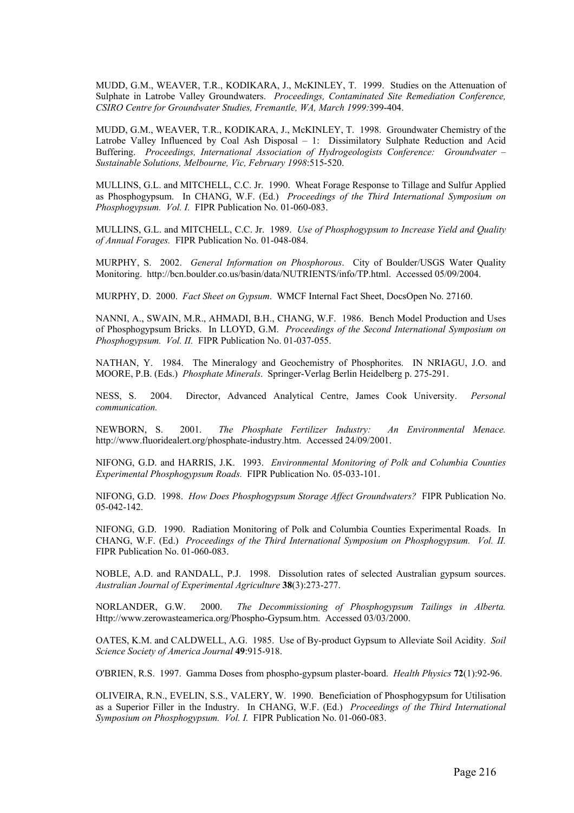MUDD, G.M., WEAVER, T.R., KODIKARA, J., McKINLEY, T. 1999. Studies on the Attenuation of Sulphate in Latrobe Valley Groundwaters. *Proceedings, Contaminated Site Remediation Conference, CSIRO Centre for Groundwater Studies, Fremantle, WA, March 1999:*399-404.

MUDD, G.M., WEAVER, T.R., KODIKARA, J., McKINLEY, T. 1998. Groundwater Chemistry of the Latrobe Valley Influenced by Coal Ash Disposal – 1: Dissimilatory Sulphate Reduction and Acid Buffering. *Proceedings, International Association of Hydrogeologists Conference: Groundwater – Sustainable Solutions, Melbourne, Vic, February 1998*:515-520.

MULLINS, G.L. and MITCHELL, C.C. Jr. 1990. Wheat Forage Response to Tillage and Sulfur Applied as Phosphogypsum. In CHANG, W.F. (Ed.) *Proceedings of the Third International Symposium on Phosphogypsum. Vol. I.* FIPR Publication No. 01-060-083.

MULLINS, G.L. and MITCHELL, C.C. Jr. 1989. *Use of Phosphogypsum to Increase Yield and Quality of Annual Forages.* FIPR Publication No. 01-048-084.

MURPHY, S. 2002. *General Information on Phosphorous*. City of Boulder/USGS Water Quality Monitoring. http://bcn.boulder.co.us/basin/data/NUTRIENTS/info/TP.html. Accessed 05/09/2004.

MURPHY, D. 2000. *Fact Sheet on Gypsum*. WMCF Internal Fact Sheet, DocsOpen No. 27160.

NANNI, A., SWAIN, M.R., AHMADI, B.H., CHANG, W.F. 1986. Bench Model Production and Uses of Phosphogypsum Bricks. In LLOYD, G.M. *Proceedings of the Second International Symposium on Phosphogypsum. Vol. II.* FIPR Publication No. 01-037-055.

NATHAN, Y. 1984. The Mineralogy and Geochemistry of Phosphorites. IN NRIAGU, J.O. and MOORE, P.B. (Eds.) *Phosphate Minerals*. Springer-Verlag Berlin Heidelberg p. 275-291.

NESS, S. 2004. Director, Advanced Analytical Centre, James Cook University. *Personal communication.*

NEWBORN, S. 2001. *The Phosphate Fertilizer Industry: An Environmental Menace.* http://www.fluoridealert.org/phosphate-industry.htm. Accessed 24/09/2001.

NIFONG, G.D. and HARRIS, J.K. 1993. *Environmental Monitoring of Polk and Columbia Counties Experimental Phosphogypsum Roads.* FIPR Publication No. 05-033-101.

NIFONG, G.D. 1998. *How Does Phosphogypsum Storage Affect Groundwaters?* FIPR Publication No. 05-042-142.

NIFONG, G.D. 1990. Radiation Monitoring of Polk and Columbia Counties Experimental Roads. In CHANG, W.F. (Ed.) *Proceedings of the Third International Symposium on Phosphogypsum. Vol. II.* FIPR Publication No. 01-060-083.

NOBLE, A.D. and RANDALL, P.J. 1998. Dissolution rates of selected Australian gypsum sources. *Australian Journal of Experimental Agriculture* **38**(3):273-277.

NORLANDER, G.W. 2000. *The Decommissioning of Phosphogypsum Tailings in Alberta.* Http://www.zerowasteamerica.org/Phospho-Gypsum.htm. Accessed 03/03/2000.

OATES, K.M. and CALDWELL, A.G. 1985. Use of By-product Gypsum to Alleviate Soil Acidity. *Soil Science Society of America Journal* **49**:915-918.

O'BRIEN, R.S. 1997. Gamma Doses from phospho-gypsum plaster-board. *Health Physics* **72**(1):92-96.

OLIVEIRA, R.N., EVELIN, S.S., VALERY, W. 1990. Beneficiation of Phosphogypsum for Utilisation as a Superior Filler in the Industry. In CHANG, W.F. (Ed.) *Proceedings of the Third International Symposium on Phosphogypsum. Vol. I.* FIPR Publication No. 01-060-083.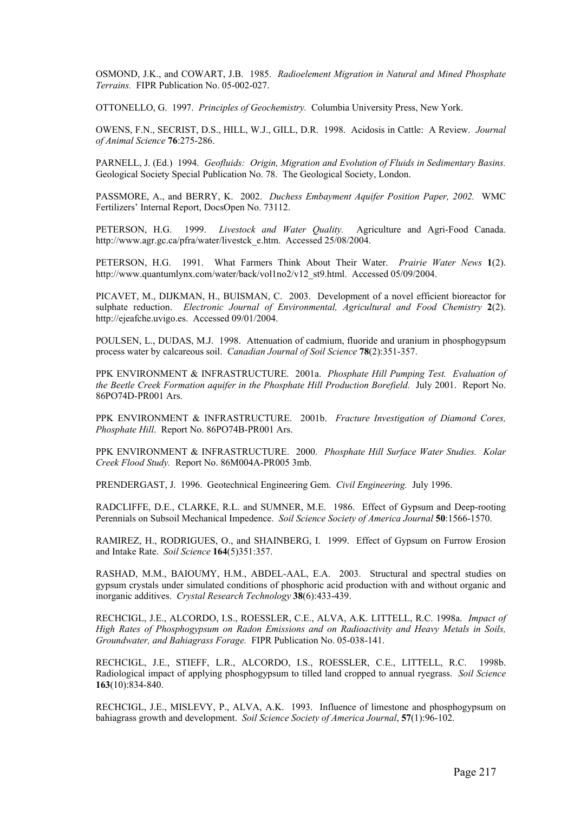OSMOND, J.K., and COWART, J.B. 1985. *Radioelement Migration in Natural and Mined Phosphate Terrains.* FIPR Publication No. 05-002-027.

OTTONELLO, G. 1997. *Principles of Geochemistry.* Columbia University Press, New York.

OWENS, F.N., SECRIST, D.S., HILL, W.J., GILL, D.R. 1998. Acidosis in Cattle: A Review. *Journal of Animal Science* **76**:275-286.

PARNELL, J. (Ed.) 1994. *Geofluids: Origin, Migration and Evolution of Fluids in Sedimentary Basins.*  Geological Society Special Publication No. 78. The Geological Society, London.

PASSMORE, A., and BERRY, K. 2002. *Duchess Embayment Aquifer Position Paper, 2002.* WMC Fertilizers' Internal Report, DocsOpen No. 73112.

PETERSON, H.G. 1999. *Livestock and Water Quality.* Agriculture and Agri-Food Canada. http://www.agr.gc.ca/pfra/water/livestck\_e.htm. Accessed 25/08/2004.

PETERSON, H.G. 1991. What Farmers Think About Their Water. *Prairie Water News* **1**(2). http://www.quantumlynx.com/water/back/vol1no2/v12\_st9.html. Accessed 05/09/2004.

PICAVET, M., DIJKMAN, H., BUISMAN, C. 2003. Development of a novel efficient bioreactor for sulphate reduction. *Electronic Journal of Environmental, Agricultural and Food Chemistry* **2**(2). http://ejeafche.uvigo.es. Accessed 09/01/2004.

POULSEN, L., DUDAS, M.J. 1998. Attenuation of cadmium, fluoride and uranium in phosphogypsum process water by calcareous soil. *Canadian Journal of Soil Science* **78**(2):351-357.

PPK ENVIRONMENT & INFRASTRUCTURE. 2001a. *Phosphate Hill Pumping Test. Evaluation of the Beetle Creek Formation aquifer in the Phosphate Hill Production Borefield.* July 2001. Report No. 86PO74D-PR001 Ars.

PPK ENVIRONMENT & INFRASTRUCTURE. 2001b. *Fracture Investigation of Diamond Cores, Phosphate Hill*. Report No. 86PO74B-PR001 Ars.

PPK ENVIRONMENT & INFRASTRUCTURE. 2000. *Phosphate Hill Surface Water Studies. Kolar Creek Flood Study.* Report No. 86M004A-PR005 3mb.

PRENDERGAST, J. 1996. Geotechnical Engineering Gem. *Civil Engineering.* July 1996.

RADCLIFFE, D.E., CLARKE, R.L. and SUMNER, M.E. 1986. Effect of Gypsum and Deep-rooting Perennials on Subsoil Mechanical Impedence. *Soil Science Society of America Journal* **50**:1566-1570.

RAMIREZ, H., RODRIGUES, O., and SHAINBERG, I. 1999. Effect of Gypsum on Furrow Erosion and Intake Rate. *Soil Science* **164**(5)351:357.

RASHAD, M.M., BAIOUMY, H.M., ABDEL-AAL, E.A. 2003. Structural and spectral studies on gypsum crystals under simulated conditions of phosphoric acid production with and without organic and inorganic additives. *Crystal Research Technology* **38**(6):433-439.

RECHCIGL, J.E., ALCORDO, I.S., ROESSLER, C.E., ALVA, A.K. LITTELL, R.C. 1998a. *Impact of High Rates of Phosphogypsum on Radon Emissions and on Radioactivity and Heavy Metals in Soils, Groundwater, and Bahiagrass Forage.* FIPR Publication No. 05-038-141.

RECHCIGL, J.E., STIEFF, L.R., ALCORDO, I.S., ROESSLER, C.E., LITTELL, R.C. 1998b. Radiological impact of applying phosphogypsum to tilled land cropped to annual ryegrass. *Soil Science* **163**(10):834-840.

RECHCIGL, J.E., MISLEVY, P., ALVA, A.K. 1993. Influence of limestone and phosphogypsum on bahiagrass growth and development. *Soil Science Society of America Journal*, **57**(1):96-102.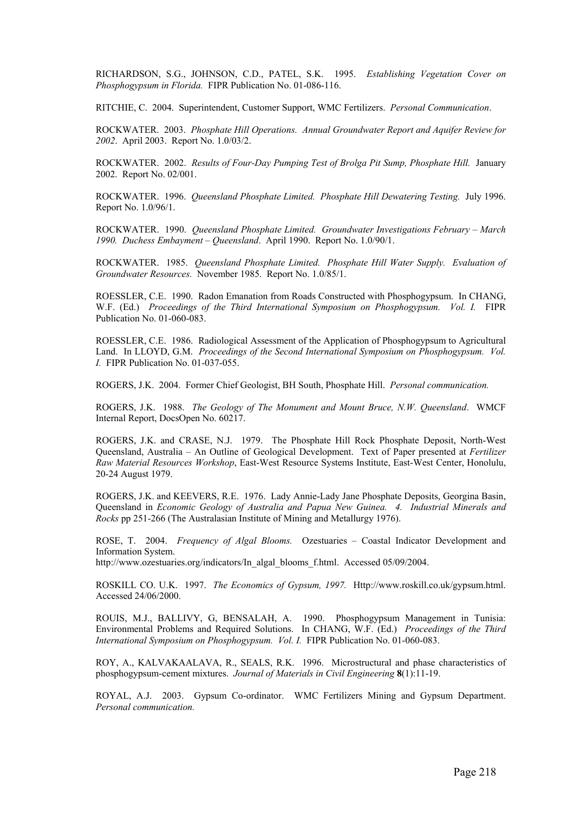RICHARDSON, S.G., JOHNSON, C.D., PATEL, S.K. 1995. *Establishing Vegetation Cover on Phosphogypsum in Florida.* FIPR Publication No. 01-086-116.

RITCHIE, C. 2004. Superintendent, Customer Support, WMC Fertilizers. *Personal Communication*.

ROCKWATER. 2003. *Phosphate Hill Operations. Annual Groundwater Report and Aquifer Review for 2002*. April 2003. Report No. 1.0/03/2.

ROCKWATER. 2002. *Results of Four-Day Pumping Test of Brolga Pit Sump, Phosphate Hill.* January 2002. Report No. 02/001.

ROCKWATER. 1996. *Queensland Phosphate Limited. Phosphate Hill Dewatering Testing.* July 1996. Report No. 1.0/96/1.

ROCKWATER. 1990. *Queensland Phosphate Limited. Groundwater Investigations February – March 1990. Duchess Embayment – Queensland*. April 1990. Report No. 1.0/90/1.

ROCKWATER. 1985. *Queensland Phosphate Limited. Phosphate Hill Water Supply. Evaluation of Groundwater Resources.* November 1985. Report No. 1.0/85/1.

ROESSLER, C.E. 1990. Radon Emanation from Roads Constructed with Phosphogypsum. In CHANG, W.F. (Ed.) *Proceedings of the Third International Symposium on Phosphogypsum. Vol. I.* FIPR Publication No. 01-060-083.

ROESSLER, C.E. 1986. Radiological Assessment of the Application of Phosphogypsum to Agricultural Land. In LLOYD, G.M. *Proceedings of the Second International Symposium on Phosphogypsum. Vol. I.* FIPR Publication No. 01-037-055.

ROGERS, J.K. 2004. Former Chief Geologist, BH South, Phosphate Hill. *Personal communication.*

ROGERS, J.K. 1988. *The Geology of The Monument and Mount Bruce, N.W. Queensland*. WMCF Internal Report, DocsOpen No. 60217.

ROGERS, J.K. and CRASE, N.J. 1979. The Phosphate Hill Rock Phosphate Deposit, North-West Queensland, Australia – An Outline of Geological Development. Text of Paper presented at *Fertilizer Raw Material Resources Workshop*, East-West Resource Systems Institute, East-West Center, Honolulu, 20-24 August 1979.

ROGERS, J.K. and KEEVERS, R.E. 1976. Lady Annie-Lady Jane Phosphate Deposits, Georgina Basin, Queensland in *Economic Geology of Australia and Papua New Guinea. 4. Industrial Minerals and Rocks* pp 251-266 (The Australasian Institute of Mining and Metallurgy 1976).

ROSE, T. 2004. *Frequency of Algal Blooms.* Ozestuaries – Coastal Indicator Development and Information System.

http://www.ozestuaries.org/indicators/In\_algal\_blooms\_f.html. Accessed 05/09/2004.

ROSKILL CO. U.K. 1997. *The Economics of Gypsum, 1997.* Http://www.roskill.co.uk/gypsum.html. Accessed 24/06/2000.

ROUIS, M.J., BALLIVY, G, BENSALAH, A. 1990. Phosphogypsum Management in Tunisia: Environmental Problems and Required Solutions. In CHANG, W.F. (Ed.) *Proceedings of the Third International Symposium on Phosphogypsum. Vol. I.* FIPR Publication No. 01-060-083.

ROY, A., KALVAKAALAVA, R., SEALS, R.K. 1996. Microstructural and phase characteristics of phosphogypsum-cement mixtures. *Journal of Materials in Civil Engineering* **8**(1):11-19.

ROYAL, A.J. 2003. Gypsum Co-ordinator. WMC Fertilizers Mining and Gypsum Department. *Personal communication.*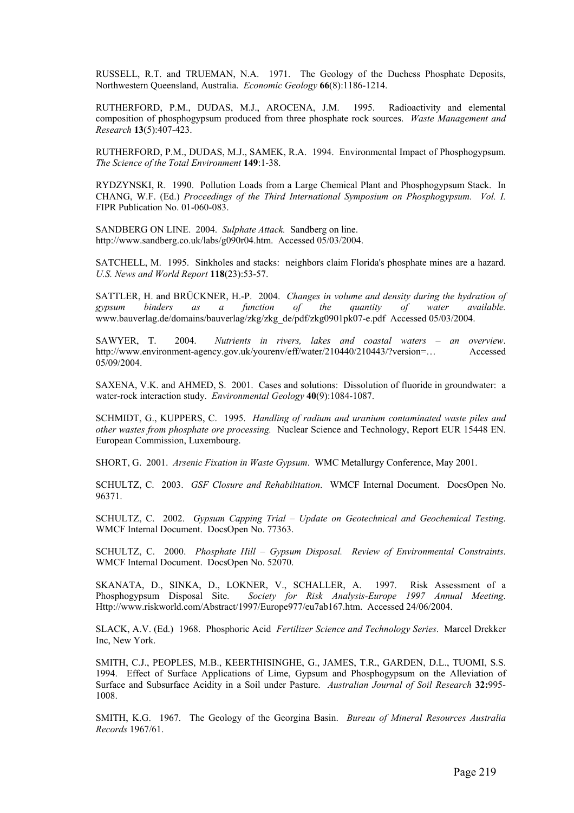RUSSELL, R.T. and TRUEMAN, N.A. 1971. The Geology of the Duchess Phosphate Deposits, Northwestern Queensland, Australia. *Economic Geology* **66**(8):1186-1214.

RUTHERFORD, P.M., DUDAS, M.J., AROCENA, J.M. 1995. Radioactivity and elemental composition of phosphogypsum produced from three phosphate rock sources. *Waste Management and Research* **13**(5):407-423.

RUTHERFORD, P.M., DUDAS, M.J., SAMEK, R.A. 1994. Environmental Impact of Phosphogypsum. *The Science of the Total Environment* **149**:1-38.

RYDZYNSKI, R. 1990. Pollution Loads from a Large Chemical Plant and Phosphogypsum Stack. In CHANG, W.F. (Ed.) *Proceedings of the Third International Symposium on Phosphogypsum. Vol. I.* FIPR Publication No. 01-060-083.

SANDBERG ON LINE. 2004. *Sulphate Attack.* Sandberg on line. http://www.sandberg.co.uk/labs/g090r04.htm. Accessed 05/03/2004.

SATCHELL, M. 1995. Sinkholes and stacks: neighbors claim Florida's phosphate mines are a hazard. *U.S. News and World Report* **118**(23):53-57.

SATTLER, H. and BRÜCKNER, H.-P. 2004. *Changes in volume and density during the hydration of gypsum binders as a function of the quantity of water available.* www.bauverlag.de/domains/bauverlag/zkg/zkg\_de/pdf/zkg0901pk07-e.pdf Accessed 05/03/2004.

SAWYER, T. 2004. *Nutrients in rivers, lakes and coastal waters – an overview*. http://www.environment-agency.gov.uk/yourenv/eff/water/210440/210443/?version=… Accessed 05/09/2004.

SAXENA, V.K. and AHMED, S. 2001. Cases and solutions: Dissolution of fluoride in groundwater: a water-rock interaction study. *Environmental Geology* **40**(9):1084-1087.

SCHMIDT, G., KUPPERS, C. 1995. *Handling of radium and uranium contaminated waste piles and other wastes from phosphate ore processing.* Nuclear Science and Technology, Report EUR 15448 EN. European Commission, Luxembourg.

SHORT, G. 2001. *Arsenic Fixation in Waste Gypsum*. WMC Metallurgy Conference, May 2001.

SCHULTZ, C. 2003. *GSF Closure and Rehabilitation*. WMCF Internal Document. DocsOpen No. 96371.

SCHULTZ, C. 2002. *Gypsum Capping Trial – Update on Geotechnical and Geochemical Testing*. WMCF Internal Document. DocsOpen No. 77363.

SCHULTZ, C. 2000. *Phosphate Hill – Gypsum Disposal. Review of Environmental Constraints*. WMCF Internal Document. DocsOpen No. 52070.

SKANATA, D., SINKA, D., LOKNER, V., SCHALLER, A. 1997. Risk Assessment of a Phosphogypsum Disposal Site. *Society for Risk Analysis-Europe 1997 Annual Meeting*. Http://www.riskworld.com/Abstract/1997/Europe977/eu7ab167.htm. Accessed 24/06/2004.

SLACK, A.V. (Ed.) 1968. Phosphoric Acid *Fertilizer Science and Technology Series*. Marcel Drekker Inc, New York.

SMITH, C.J., PEOPLES, M.B., KEERTHISINGHE, G., JAMES, T.R., GARDEN, D.L., TUOMI, S.S. 1994. Effect of Surface Applications of Lime, Gypsum and Phosphogypsum on the Alleviation of Surface and Subsurface Acidity in a Soil under Pasture. *Australian Journal of Soil Research* **32:**995- 1008.

SMITH, K.G. 1967. The Geology of the Georgina Basin. *Bureau of Mineral Resources Australia Records* 1967/61.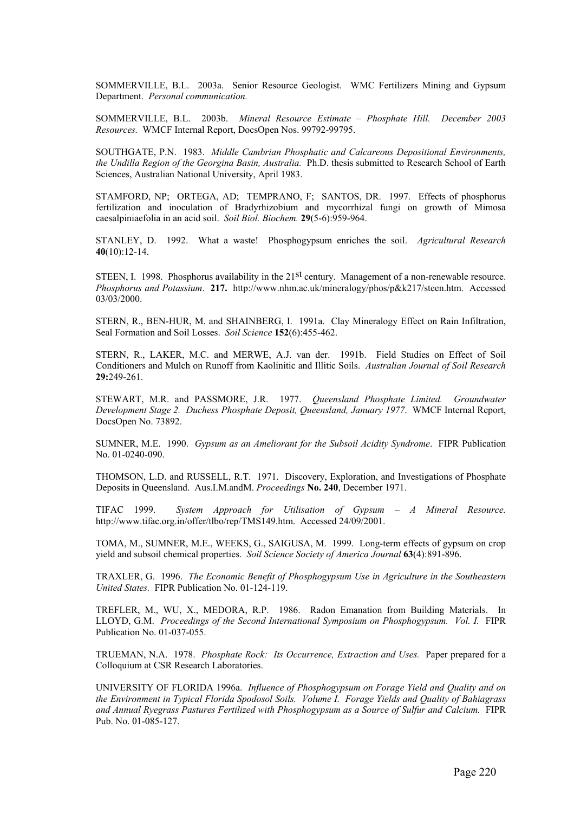SOMMERVILLE, B.L. 2003a. Senior Resource Geologist. WMC Fertilizers Mining and Gypsum Department. *Personal communication.* 

SOMMERVILLE, B.L. 2003b. *Mineral Resource Estimate – Phosphate Hill. December 2003 Resources.* WMCF Internal Report, DocsOpen Nos. 99792-99795.

SOUTHGATE, P.N. 1983. *Middle Cambrian Phosphatic and Calcareous Depositional Environments, the Undilla Region of the Georgina Basin, Australia.* Ph.D. thesis submitted to Research School of Earth Sciences, Australian National University, April 1983.

STAMFORD, NP; ORTEGA, AD; TEMPRANO, F; SANTOS, DR. 1997. Effects of phosphorus fertilization and inoculation of Bradyrhizobium and mycorrhizal fungi on growth of Mimosa caesalpiniaefolia in an acid soil. *Soil Biol. Biochem.* **29**(5-6):959-964.

STANLEY, D. 1992. What a waste! Phosphogypsum enriches the soil. *Agricultural Research* **40**(10):12-14.

STEEN, I. 1998. Phosphorus availability in the 21<sup>st</sup> century. Management of a non-renewable resource. *Phosphorus and Potassium*. **217.** http://www.nhm.ac.uk/mineralogy/phos/p&k217/steen.htm. Accessed 03/03/2000.

STERN, R., BEN-HUR, M. and SHAINBERG, I. 1991a. Clay Mineralogy Effect on Rain Infiltration, Seal Formation and Soil Losses. *Soil Science* **152**(6):455-462.

STERN, R., LAKER, M.C. and MERWE, A.J. van der. 1991b. Field Studies on Effect of Soil Conditioners and Mulch on Runoff from Kaolinitic and Illitic Soils. *Australian Journal of Soil Research* **29:**249-261.

STEWART, M.R. and PASSMORE, J.R. 1977. *Queensland Phosphate Limited. Groundwater Development Stage 2. Duchess Phosphate Deposit, Queensland, January 1977*. WMCF Internal Report, DocsOpen No. 73892.

SUMNER, M.E. 1990. *Gypsum as an Ameliorant for the Subsoil Acidity Syndrome*. FIPR Publication No. 01-0240-090.

THOMSON, L.D. and RUSSELL, R.T. 1971. Discovery, Exploration, and Investigations of Phosphate Deposits in Queensland. Aus.I.M.andM. *Proceedings* **No. 240**, December 1971.

TIFAC 1999. *System Approach for Utilisation of Gypsum – A Mineral Resource.* http://www.tifac.org.in/offer/tlbo/rep/TMS149.htm. Accessed 24/09/2001.

TOMA, M., SUMNER, M.E., WEEKS, G., SAIGUSA, M. 1999. Long-term effects of gypsum on crop yield and subsoil chemical properties. *Soil Science Society of America Journal* **63**(4):891-896.

TRAXLER, G. 1996. *The Economic Benefit of Phosphogypsum Use in Agriculture in the Southeastern United States.* FIPR Publication No. 01-124-119.

TREFLER, M., WU, X., MEDORA, R.P. 1986. Radon Emanation from Building Materials. In LLOYD, G.M. *Proceedings of the Second International Symposium on Phosphogypsum. Vol. I.* FIPR Publication No. 01-037-055.

TRUEMAN, N.A. 1978. *Phosphate Rock: Its Occurrence, Extraction and Uses.* Paper prepared for a Colloquium at CSR Research Laboratories.

UNIVERSITY OF FLORIDA 1996a. *Influence of Phosphogypsum on Forage Yield and Quality and on the Environment in Typical Florida Spodosol Soils. Volume I. Forage Yields and Quality of Bahiagrass and Annual Ryegrass Pastures Fertilized with Phosphogypsum as a Source of Sulfur and Calcium.* FIPR Pub. No. 01-085-127.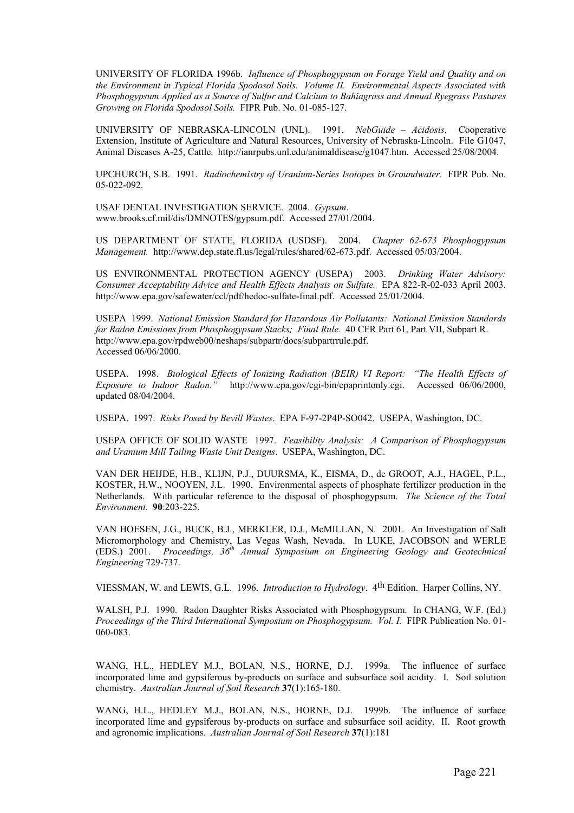UNIVERSITY OF FLORIDA 1996b. *Influence of Phosphogypsum on Forage Yield and Quality and on the Environment in Typical Florida Spodosol Soils. Volume II. Environmental Aspects Associated with Phosphogypsum Applied as a Source of Sulfur and Calcium to Bahiagrass and Annual Ryegrass Pastures Growing on Florida Spodosol Soils.* FIPR Pub. No. 01-085-127.

UNIVERSITY OF NEBRASKA-LINCOLN (UNL). 1991. *NebGuide – Acidosis*. Cooperative Extension, Institute of Agriculture and Natural Resources, University of Nebraska-Lincoln. File G1047, Animal Diseases A-25, Cattle. http://ianrpubs.unl.edu/animaldisease/g1047.htm. Accessed 25/08/2004.

UPCHURCH, S.B. 1991. *Radiochemistry of Uranium-Series Isotopes in Groundwater*. FIPR Pub. No. 05-022-092.

USAF DENTAL INVESTIGATION SERVICE. 2004. *Gypsum*. www.brooks.cf.mil/dis/DMNOTES/gypsum.pdf. Accessed 27/01/2004.

US DEPARTMENT OF STATE, FLORIDA (USDSF). 2004. *Chapter 62-673 Phosphogypsum Management.* http://www.dep.state.fl.us/legal/rules/shared/62-673.pdf. Accessed 05/03/2004.

US ENVIRONMENTAL PROTECTION AGENCY (USEPA) 2003. *Drinking Water Advisory: Consumer Acceptability Advice and Health Effects Analysis on Sulfate.* EPA 822-R-02-033 April 2003. http://www.epa.gov/safewater/ccl/pdf/hedoc-sulfate-final.pdf. Accessed 25/01/2004.

USEPA 1999. *National Emission Standard for Hazardous Air Pollutants: National Emission Standards for Radon Emissions from Phosphogypsum Stacks; Final Rule.* 40 CFR Part 61, Part VII, Subpart R. http://www.epa.gov/rpdweb00/neshaps/subpartr/docs/subpartrrule.pdf. Accessed 06/06/2000.

USEPA. 1998. *Biological Effects of Ionizing Radiation (BEIR) VI Report: "The Health Effects of Exposure to Indoor Radon."* http://www.epa.gov/cgi-bin/epaprintonly.cgi. Accessed 06/06/2000, updated 08/04/2004.

USEPA. 1997. *Risks Posed by Bevill Wastes*. EPA F-97-2P4P-SO042. USEPA, Washington, DC.

USEPA OFFICE OF SOLID WASTE 1997. *Feasibility Analysis: A Comparison of Phosphogypsum and Uranium Mill Tailing Waste Unit Designs*. USEPA, Washington, DC.

VAN DER HEIJDE, H.B., KLIJN, P.J., DUURSMA, K., EISMA, D., de GROOT, A.J., HAGEL, P.L., KOSTER, H.W., NOOYEN, J.L. 1990. Environmental aspects of phosphate fertilizer production in the Netherlands. With particular reference to the disposal of phosphogypsum. *The Science of the Total Environment*. **90**:203-225.

VAN HOESEN, J.G., BUCK, B.J., MERKLER, D.J., McMILLAN, N. 2001. An Investigation of Salt Micromorphology and Chemistry, Las Vegas Wash, Nevada. In LUKE, JACOBSON and WERLE (EDS.) 2001. *Proceedings, 36th Annual Symposium on Engineering Geology and Geotechnical Engineering* 729-737.

VIESSMAN, W. and LEWIS, G.L. 1996. *Introduction to Hydrology*. 4th Edition. Harper Collins, NY.

WALSH, P.J. 1990. Radon Daughter Risks Associated with Phosphogypsum. In CHANG, W.F. (Ed.) *Proceedings of the Third International Symposium on Phosphogypsum. Vol. I.* FIPR Publication No. 01-060-083.

WANG, H.L., HEDLEY M.J., BOLAN, N.S., HORNE, D.J. 1999a. The influence of surface incorporated lime and gypsiferous by-products on surface and subsurface soil acidity. I. Soil solution chemistry. *Australian Journal of Soil Research* **37**(1):165-180.

WANG, H.L., HEDLEY M.J., BOLAN, N.S., HORNE, D.J. 1999b. The influence of surface incorporated lime and gypsiferous by-products on surface and subsurface soil acidity. II. Root growth and agronomic implications. *Australian Journal of Soil Research* **37**(1):181